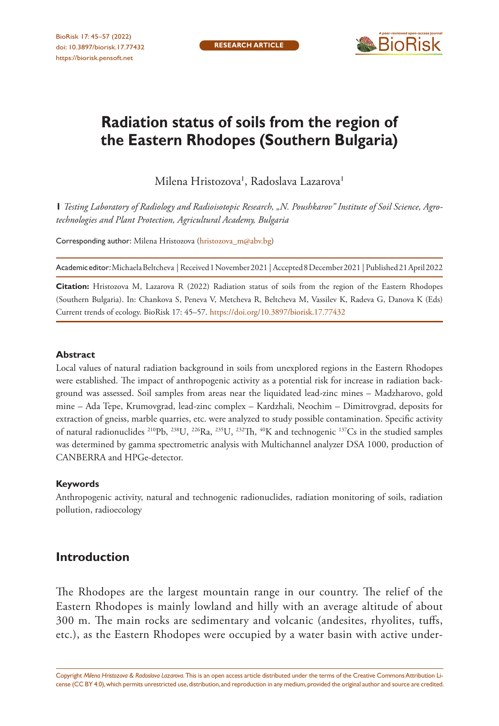

# **Radiation status of soils from the region of the Eastern Rhodopes (Southern Bulgaria)**

Milena Hristozova', Radoslava Lazarova'

**1** *Testing Laboratory of Radiology and Radioisotopic Research, "N. Poushkarov" Institute of Soil Science, Agrotechnologies and Plant Protection, Agricultural Academy, Bulgaria*

Corresponding author: Milena Hristozova [\(hristozova\\_m@abv.bg](mailto:hristozova_m@abv.bg))

Academic editor: Michaela Beltcheva | Received 1 November 2021 | Accepted 8 December 2021 | Published 21 April 2022

**Citation:** Hristozova M, Lazarova R (2022) Radiation status of soils from the region of the Eastern Rhodopes (Southern Bulgaria). In: Chankova S, Peneva V, Metcheva R, Beltcheva M, Vassilev K, Radeva G, Danova K (Eds) Current trends of ecology. BioRisk 17: 45–57. <https://doi.org/10.3897/biorisk.17.77432>

#### **Abstract**

Local values of natural radiation background in soils from unexplored regions in the Eastern Rhodopes were established. The impact of anthropogenic activity as a potential risk for increase in radiation background was assessed. Soil samples from areas near the liquidated lead-zinc mines – Madzharovo, gold mine – Ada Tepe, Krumovgrad, lead-zinc complex – Kardzhali, Neochim – Dimitrovgrad, deposits for extraction of gneiss, marble quarries, etc. were analyzed to study possible contamination. Specific activity of natural radionuclides 210Pb, 238U, 226Ra, 235U, 232Th, 40K and technogenic 137Cs in the studied samples was determined by gamma spectrometric analysis with Multichannel analyzer DSA 1000, production of CANBERRA and HPGe-detector.

#### **Keywords**

Anthropogenic activity, natural and technogenic radionuclides, radiation monitoring of soils, radiation pollution, radioecology

## **Introduction**

The Rhodopes are the largest mountain range in our country. The relief of the Eastern Rhodopes is mainly lowland and hilly with an average altitude of about 300 m. The main rocks are sedimentary and volcanic (andesites, rhyolites, tuffs, etc.), as the Eastern Rhodopes were occupied by a water basin with active under-

Copyright *Milena Hristozova & Radoslava Lazarova.* This is an open access article distributed under the terms of the [Creative Commons Attribution Li](http://creativecommons.org/licenses/by/4.0/)[cense \(CC BY 4.0\),](http://creativecommons.org/licenses/by/4.0/) which permits unrestricted use, distribution, and reproduction in any medium, provided the original author and source are credited.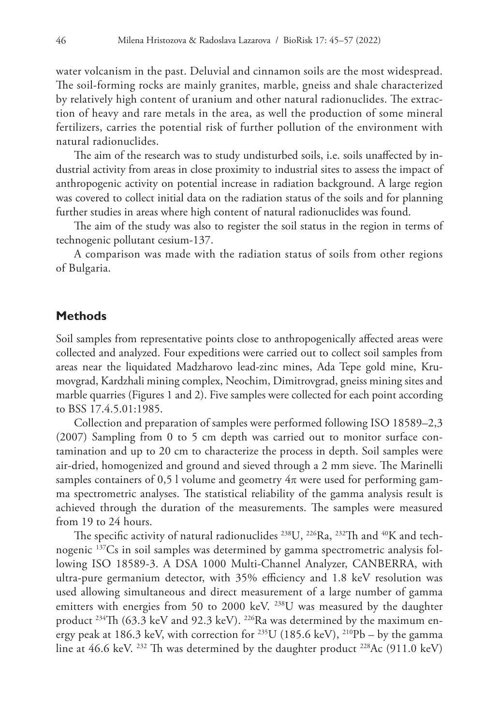water volcanism in the past. Deluvial and cinnamon soils are the most widespread. The soil-forming rocks are mainly granites, marble, gneiss and shale characterized by relatively high content of uranium and other natural radionuclides. The extraction of heavy and rare metals in the area, as well the production of some mineral fertilizers, carries the potential risk of further pollution of the environment with natural radionuclides.

The aim of the research was to study undisturbed soils, i.e. soils unaffected by industrial activity from areas in close proximity to industrial sites to assess the impact of anthropogenic activity on potential increase in radiation background. A large region was covered to collect initial data on the radiation status of the soils and for planning further studies in areas where high content of natural radionuclides was found.

The aim of the study was also to register the soil status in the region in terms of technogenic pollutant cesium-137.

A comparison was made with the radiation status of soils from other regions of Bulgaria.

### **Methods**

Soil samples from representative points close to anthropogenically affected areas were collected and analyzed. Four expeditions were carried out to collect soil samples from areas near the liquidated Madzharovo lead-zinc mines, Ada Tepe gold mine, Krumovgrad, Kardzhali mining complex, Neochim, Dimitrovgrad, gneiss mining sites and marble quarries (Figures 1 and 2). Five samples were collected for each point according to BSS 17.4.5.01:1985.

Collection and preparation of samples were performed following ISO 18589–2,3 (2007) Sampling from 0 to 5 cm depth was carried out to monitor surface contamination and up to 20 cm to characterize the process in depth. Soil samples were air-dried, homogenized and ground and sieved through a 2 mm sieve. The Marinelli samples containers of 0,5 l volume and geometry  $4\pi$  were used for performing gamma spectrometric analyses. The statistical reliability of the gamma analysis result is achieved through the duration of the measurements. The samples were measured from 19 to 24 hours.

The specific activity of natural radionuclides <sup>238</sup>U, <sup>226</sup>Ra, <sup>232</sup>Th and <sup>40</sup>K and technogenic 137Cs in soil samples was determined by gamma spectrometric analysis following ISO 18589-3. A DSA 1000 Multi-Channel Analyzer, CANBERRA, with ultra-pure germanium detector, with 35% efficiency and 1.8 keV resolution was used allowing simultaneous and direct measurement of a large number of gamma emitters with energies from 50 to 2000 keV. <sup>238</sup>U was measured by the daughter product <sup>234</sup>Th (63.3 keV and 92.3 keV). <sup>226</sup>Ra was determined by the maximum energy peak at 186.3 keV, with correction for <sup>235</sup>U (185.6 keV), <sup>210</sup>Pb – by the gamma line at 46.6 keV. <sup>232</sup> Th was determined by the daughter product <sup>228</sup>Ac (911.0 keV)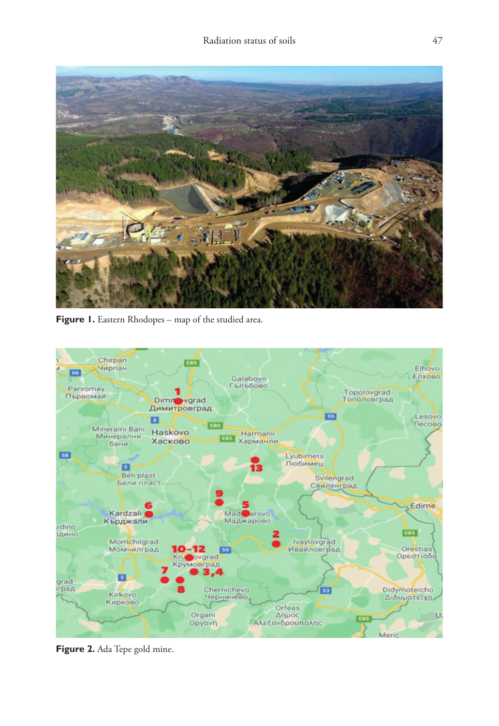

Figure 1. Eastern Rhodopes – map of the studied area.



**Figure 2.** Ada Tepe gold mine.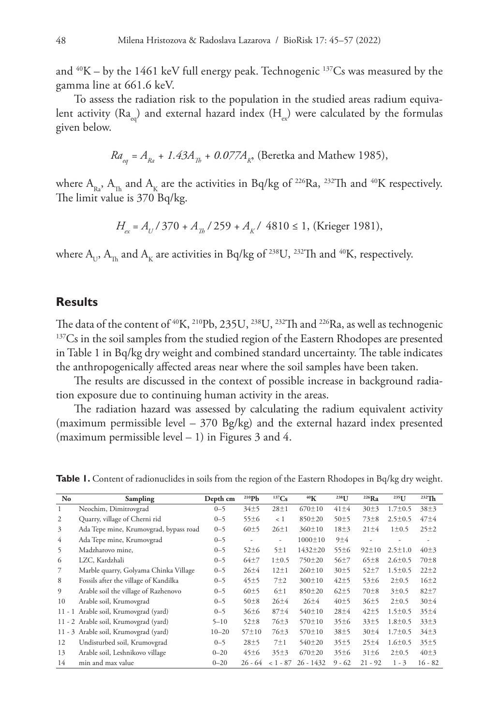and  $40K - by$  the 1461 keV full energy peak. Technogenic  $137Cs$  was measured by the gamma line at 661.6 keV.

To assess the radiation risk to the population in the studied areas radium equivalent activity ( $Ra_{eq}$ ) and external hazard index ( $H_{eq}$ ) were calculated by the formulas given below.

$$
Ra_{eq} = A_{Ra} + 1.43A_{Th} + 0.077A_{R}
$$
, (Beretka and Mathew 1985),

where  $A_{R}$ ,  $A_{T}$  and  $A_{K}$  are the activities in Bq/kg of <sup>226</sup>Ra, <sup>232</sup>Th and <sup>40</sup>K respectively. The limit value is 370 Bq/kg.

 $H_{ex} = A_{U} / 370 + A_{Th} / 259 + A_{K} / 4810 \le 1$ , (Krieger 1981),

where  $A_{\text{L}}$ ,  $A_{\text{L}}$  and  $A_{\kappa}$  are activities in Bq/kg of <sup>238</sup>U, <sup>232</sup>Th and <sup>40</sup>K, respectively.

#### **Results**

The data of the content of <sup>40</sup>K, <sup>210</sup>Pb, 235U, <sup>238</sup>U, <sup>232</sup>Th and <sup>226</sup>Ra, as well as technogenic <sup>137</sup>Cs in the soil samples from the studied region of the Eastern Rhodopes are presented in Table 1 in Bq/kg dry weight and combined standard uncertainty. The table indicates the anthropogenically affected areas near where the soil samples have been taken.

The results are discussed in the context of possible increase in background radiation exposure due to continuing human activity in the areas.

The radiation hazard was assessed by calculating the radium equivalent activity (maximum permissible level – 370 Bg/kg) and the external hazard index presented (maximum permissible level  $-1$ ) in Figures 3 and 4.

| No | Sampling                               | Depth cm  | $^{210}Pb$  | 137Cs       | 40 <sub>K</sub> | 238 <sub>L</sub> J | $226$ Ra         | $235$ <sup>U</sup> | $232$ Th         |
|----|----------------------------------------|-----------|-------------|-------------|-----------------|--------------------|------------------|--------------------|------------------|
|    | Neochim, Dimitrovgrad                  | $0 - 5$   | 34±5        | $28 + 1$    | $670 \pm 10$    | $41 \pm 4$         | 30±3             | $1.7 \pm 0.5$      | $38+3$           |
| 2  | Quarry, village of Cherni rid          | $0 - 5$   | 55±6        | < 1         | $850 \pm 20$    | 50±5               | $73 + 8$         | $2.5 \pm 0.5$      | $47 + 4$         |
| 3  | Ada Tepe mine, Krumovgrad, bypass road | $0 - 5$   | 60±5        | $26 \pm 1$  | $360 \pm 10$    | $18 + 3$           | $21 \pm 4$       | 1 ± 0.5            | $25 \pm 2$       |
| 4  | Ada Tepe mine, Krumovgrad              | $0 - 5$   | ٠           | ٠           | $1000 \pm 10$   | 9±4                | ٠                |                    | ۰                |
| 5  | Madzharovo mine,                       | $0 - 5$   | $52 \pm 6$  | 5±1         | $1432 \pm 20$   | 55±6               | $92 \pm 10$      | $2.5 \pm 1.0$      | $40\pm3$         |
| 6  | LZC, Kardzhali                         | $0 - 5$   | $64+7$      | $1 \pm 0.5$ | $750 \pm 20$    | $56 + 7$           | $65 \pm 8$       | $2.6 \pm 0.5$      | $70 \pm 8$       |
|    | Marble quarry, Golyama Chinka Village  | $0 - 5$   | $26 + 4$    | $12 + 1$    | $260 \pm 10$    | 30±5               | $52 + 7$         | $1.5 \pm 0.5$      | $22 \pm 2$       |
| 8  | Fossils after the village of Kandilka  | $0 - 5$   | 45±5        | $7\pm2$     | $300 \pm 10$    | $42 + 5$           | $53 \pm 6$       | 2±0.5              | $16+2$           |
| 9  | Arable soil the village of Razhenovo   | $0 - 5$   | 60±5        | 6±1         | $850 \pm 20$    | $62+5$             | $70 + 8$         | 3±0.5              | $82 + 7$         |
| 10 | Arable soil, Krumovgrad                | $0 - 5$   | $50 \pm 8$  | $26 + 4$    | $26 + 4$        | 40±5               | 36±5             | 2±0.5              | 30 <sub>±4</sub> |
|    | 11 - 1 Arable soil, Krumovgrad (yard)  | $0 - 5$   | 36±6        | $87 + 4$    | $540 \pm 10$    | $28 + 4$           | $42 + 5$         | $1.5 \pm 0.5$      | $35 \pm 4$       |
|    | 11 - 2 Arable soil, Krumovgrad (yard)  | $5 - 10$  | $52 \pm 8$  | $76 \pm 3$  | $570 \pm 10$    | 35±6               | 33±5             | $1.8 \pm 0.5$      | 33±3             |
|    | 11 - 3 Arable soil, Krumovgrad (yard)  | $10 - 20$ | $57 \pm 10$ | $76 \pm 3$  | $570 \pm 10$    | 38±5               | 30 <sub>±4</sub> | $1.7 \pm 0.5$      | $34 + 3$         |
| 12 | Undisturbed soil, Krumovgrad           | $0 - 5$   | $28 + 5$    | $7\pm1$     | $540 \pm 20$    | 35±5               | $25 + 4$         | $1.6 \pm 0.5$      | 35±5             |
| 13 | Arable soil, Leshnikovo village        | $0 - 20$  | $45 \pm 6$  | 35±3        | $670 \pm 20$    | 35±6               | $31 \pm 6$       | $2 \pm 0.5$        | $40\pm3$         |
| 14 | min and max value                      | $0 - 20$  | $26 - 64$   | $< 1 - 87$  | $26 - 1432$     | $9 - 62$           | $21 - 92$        | $1 - 3$            | $16 - 82$        |

**Table 1.** Content of radionuclides in soils from the region of the Eastern Rhodopes in Bq/kg dry weight.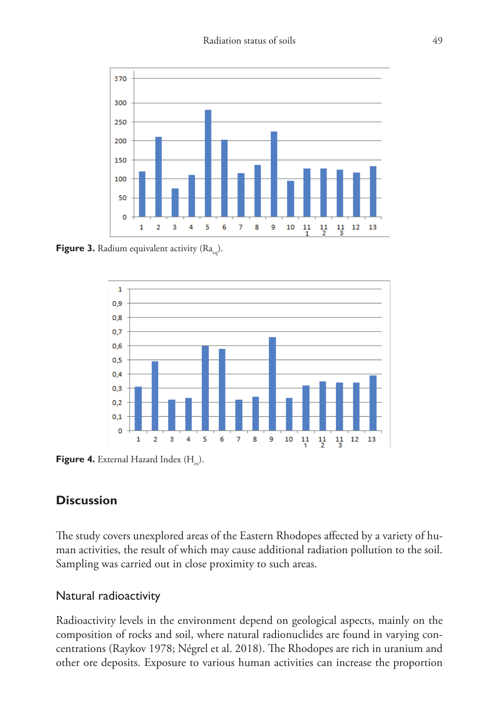

**Figure 3.** Radium equivalent activity  $(Ra_{eq})$ .



Figure 4. External Hazard Index (H<sub>n</sub>).

## **Discussion**

The study covers unexplored areas of the Eastern Rhodopes affected by a variety of human activities, the result of which may cause additional radiation pollution to the soil. Sampling was carried out in close proximity to such areas.

## Natural radioactivity

Radioactivity levels in the environment depend on geological aspects, mainly on the composition of rocks and soil, where natural radionuclides are found in varying concentrations (Raykov 1978; Négrel et al. 2018). The Rhodopes are rich in uranium and other ore deposits. Exposure to various human activities can increase the proportion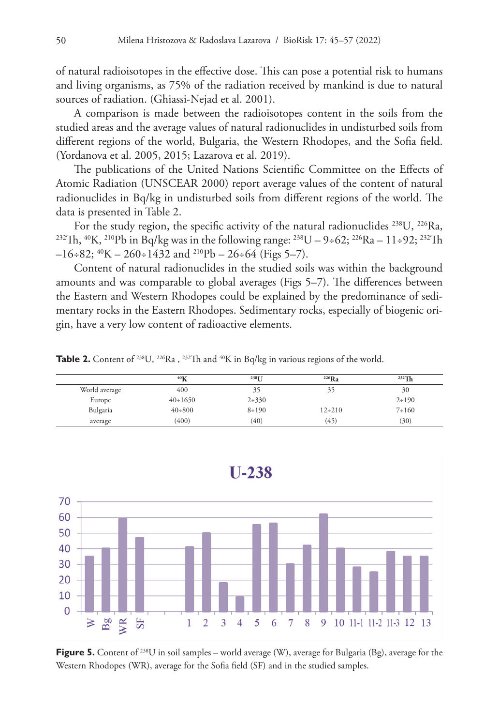of natural radioisotopes in the effective dose. This can pose a potential risk to humans and living organisms, as 75% of the radiation received by mankind is due to natural sources of radiation. (Ghiassi-Nejad et al. 2001).

A comparison is made between the radioisotopes content in the soils from the studied areas and the average values of natural radionuclides in undisturbed soils from different regions of the world, Bulgaria, the Western Rhodopes, and the Sofia field. (Yordanova et al. 2005, 2015; Lazarova et al. 2019).

The publications of the United Nations Scientific Committee on the Effects of Atomic Radiation (UNSCEAR 2000) report average values of the content of natural radionuclides in Bq/kg in undisturbed soils from different regions of the world. The data is presented in Table 2.<br>For the study region, the specific activity of the natural radionuclides <sup>238</sup>U, <sup>226</sup>Ra,

<sup>232</sup>Th, <sup>40</sup>K, <sup>210</sup>Pb in Bq/kg was in the following range: <sup>238</sup>U – 9÷62; <sup>226</sup>Ra – 11÷92; <sup>232</sup>Th  $-16+82$ ;  $^{40}K - 260+1432$  and  $^{210}Pb - 26+64$  (Figs 5-7).

Content of natural radionuclides in the studied soils was within the background amounts and was comparable to global averages (Figs 5–7). The differences between the Eastern and Western Rhodopes could be explained by the predominance of sedimentary rocks in the Eastern Rhodopes. Sedimentary rocks, especially of biogenic origin, have a very low content of radioactive elements.

**Table 2.** Content of <sup>238</sup>U, <sup>226</sup>Ra, <sup>232</sup>Th and <sup>40</sup>K in Bq/kg in various regions of the world.

|               | 40 <sub>K</sub> | 238 <sub>IJ</sub> | $226$ Ra   | $232$ Th  |
|---------------|-----------------|-------------------|------------|-----------|
| World average | 400             |                   |            | 30        |
| Europe        | $40 \div 1650$  | $2 + 330$         |            | $2 + 190$ |
| Bulgaria      | $40+800$        | $8 + 190$         | $12 + 210$ | $7 + 160$ |
| average       | (400)           | (40)              | (45)       | (30)      |



Figure 5. Content of <sup>238</sup>U in soil samples – world average (W), average for Bulgaria (Bg), average for the Western Rhodopes (WR), average for the Sofia field (SF) and in the studied samples.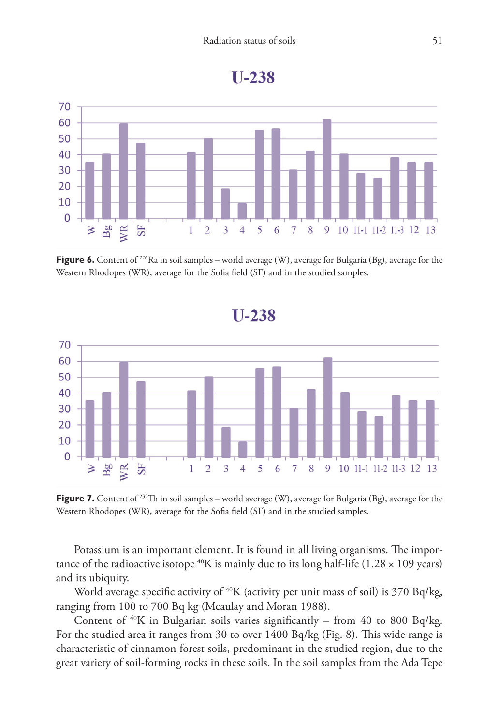



**Figure 6.** Content of <sup>226</sup>Ra in soil samples – world average (W), average for Bulgaria (Bg), average for the Western Rhodopes (WR), average for the Sofia field (SF) and in the studied samples.



Figure 7. Content of <sup>232</sup>Th in soil samples – world average (W), average for Bulgaria (Bg), average for the Western Rhodopes (WR), average for the Sofia field (SF) and in the studied samples.

Potassium is an important element. It is found in all living organisms. The importance of the radioactive isotope  $^{40}K$  is mainly due to its long half-life (1.28  $\times$  109 years) and its ubiquity.

World average specific activity of <sup>40</sup>K (activity per unit mass of soil) is 370 Bq/kg, ranging from 100 to 700 Bq kg (Mcaulay and Moran 1988).

Content of  $40K$  in Bulgarian soils varies significantly – from 40 to 800 Bq/kg. For the studied area it ranges from 30 to over 1400 Bq/kg (Fig. 8). This wide range is characteristic of cinnamon forest soils, predominant in the studied region, due to the great variety of soil-forming rocks in these soils. In the soil samples from the Ada Tepe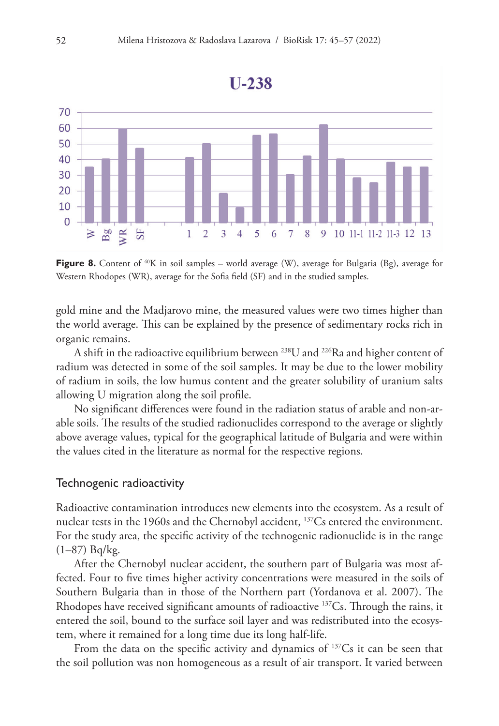

**Figure 8.** Content of <sup>40</sup>K in soil samples – world average (W), average for Bulgaria (Bg), average for Western Rhodopes (WR), average for the Sofia field (SF) and in the studied samples.

gold mine and the Madjarovo mine, the measured values were two times higher than the world average. This can be explained by the presence of sedimentary rocks rich in organic remains.

A shift in the radioactive equilibrium between 238U and 226Ra and higher content of radium was detected in some of the soil samples. It may be due to the lower mobility of radium in soils, the low humus content and the greater solubility of uranium salts allowing U migration along the soil profile.

No significant differences were found in the radiation status of arable and non-arable soils. The results of the studied radionuclides correspond to the average or slightly above average values, typical for the geographical latitude of Bulgaria and were within the values cited in the literature as normal for the respective regions.

#### Technogenic radioactivity

Radioactive contamination introduces new elements into the ecosystem. As a result of nuclear tests in the 1960s and the Chernobyl accident, 137Cs entered the environment. For the study area, the specific activity of the technogenic radionuclide is in the range (1–87) Bq/kg.

After the Chernobyl nuclear accident, the southern part of Bulgaria was most affected. Four to five times higher activity concentrations were measured in the soils of Southern Bulgaria than in those of the Northern part (Yordanova et al. 2007). The Rhodopes have received significant amounts of radioactive <sup>137</sup>Cs. Through the rains, it entered the soil, bound to the surface soil layer and was redistributed into the ecosystem, where it remained for a long time due its long half-life.

From the data on the specific activity and dynamics of  $137Cs$  it can be seen that the soil pollution was non homogeneous as a result of air transport. It varied between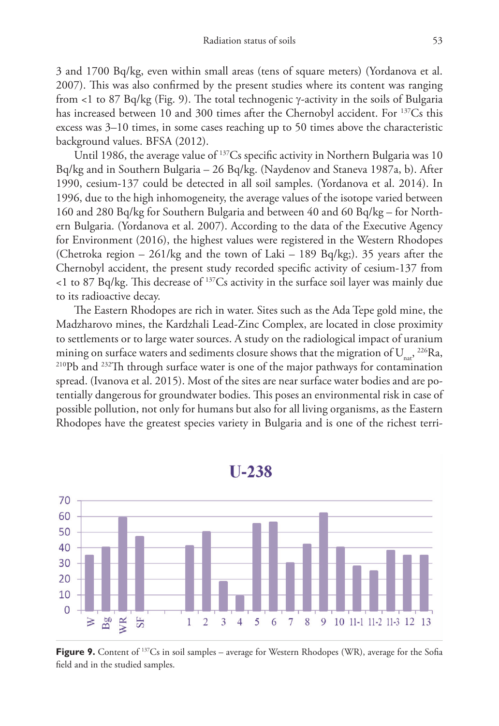3 and 1700 Bq/kg, even within small areas (tens of square meters) (Yordanova et al. 2007). This was also confirmed by the present studies where its content was ranging from <1 to 87 Bq/kg (Fig. 9). The total technogenic γ-activity in the soils of Bulgaria has increased between 10 and 300 times after the Chernobyl accident. For <sup>137</sup>Cs this excess was 3–10 times, in some cases reaching up to 50 times above the characteristic background values. BFSA (2012).

Until 1986, the average value of <sup>137</sup>Cs specific activity in Northern Bulgaria was 10 Bq/kg and in Southern Bulgaria – 26 Bq/kg. (Naydenov and Staneva 1987a, b). After 1990, cesium-137 could be detected in all soil samples. (Yordanova et al. 2014). In 1996, due to the high inhomogeneity, the average values of the isotope varied between 160 and 280 Bq/kg for Southern Bulgaria and between 40 and 60 Bq/kg – for Northern Bulgaria. (Yordanova et al. 2007). According to the data of the Executive Agency for Environment (2016), the highest values were registered in the Western Rhodopes (Chetroka region – 261/kg and the town of Laki – 189 Bq/kg;). 35 years after the Chernobyl accident, the present study recorded specific activity of cesium-137 from  $<$ 1 to 87 Bq/kg. This decrease of  $137$ Cs activity in the surface soil layer was mainly due to its radioactive decay.

The Eastern Rhodopes are rich in water. Sites such as the Ada Tepe gold mine, the Madzharovo mines, the Kardzhali Lead-Zinc Complex, are located in close proximity to settlements or to large water sources. A study on the radiological impact of uranium mining on surface waters and sediments closure shows that the migration of  $U_{\text{nat}}$ , <sup>226</sup>Ra, <sup>210</sup>Pb and <sup>232</sup>Th through surface water is one of the major pathways for contamination spread. (Ivanova et al. 2015). Most of the sites are near surface water bodies and are potentially dangerous for groundwater bodies. This poses an environmental risk in case of possible pollution, not only for humans but also for all living organisms, as the Eastern Rhodopes have the greatest species variety in Bulgaria and is one of the richest terri-



**Figure 9.** Content of <sup>137</sup>Cs in soil samples – average for Western Rhodopes (WR), average for the Sofia field and in the studied samples.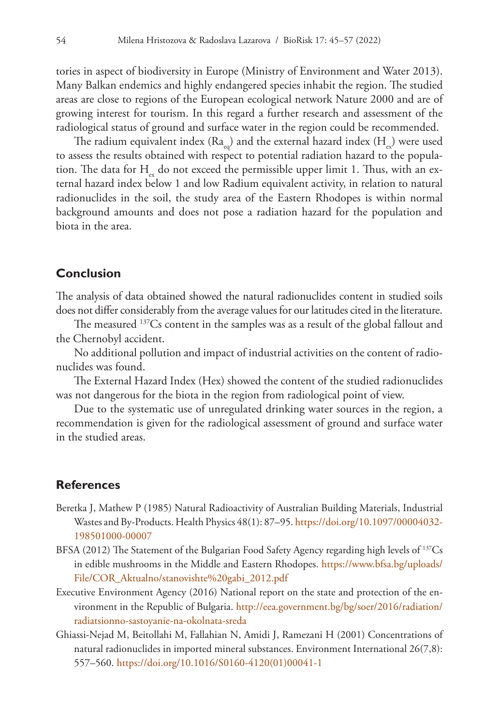tories in aspect of biodiversity in Europe (Ministry of Environment and Water 2013). Many Balkan endemics and highly endangered species inhabit the region. The studied areas are close to regions of the European ecological network Nature 2000 and are of growing interest for tourism. In this regard a further research and assessment of the radiological status of ground and surface water in the region could be recommended.

The radium equivalent index  $(Ra_{eq})$  and the external hazard index  $(H_{eq})$  were used to assess the results obtained with respect to potential radiation hazard to the population. The data for  $H_{\mu}$  do not exceed the permissible upper limit 1. Thus, with an external hazard index below 1 and low Radium equivalent activity, in relation to natural radionuclides in the soil, the study area of the Eastern Rhodopes is within normal background amounts and does not pose a radiation hazard for the population and biota in the area.

## **Conclusion**

The analysis of data obtained showed the natural radionuclides content in studied soils does not differ considerably from the average values for our latitudes cited in the literature.

The measured 137Cs content in the samples was as a result of the global fallout and the Chernobyl accident.

No additional pollution and impact of industrial activities on the content of radionuclides was found.

The External Hazard Index (Hex) showed the content of the studied radionuclides was not dangerous for the biota in the region from radiological point of view.

Due to the systematic use of unregulated drinking water sources in the region, a recommendation is given for the radiological assessment of ground and surface water in the studied areas.

## **References**

- Beretka J, Mathew P (1985) Natural Radioactivity of Australian Building Materials, Industrial Wastes and By-Products. Health Physics 48(1): 87–95. [https://doi.org/10.1097/00004032-](https://doi.org/10.1097/00004032-198501000-00007) [198501000-00007](https://doi.org/10.1097/00004032-198501000-00007)
- BFSA (2012) The Statement of the Bulgarian Food Safety Agency regarding high levels of  $^{137}Cs$ in edible mushrooms in the Middle and Eastern Rhodopes. [https://www.bfsa.bg/uploads/](https://www.bfsa.bg/uploads/File/COR_Aktualno/stanovishte%20gabi_2012.pdf) [File/COR\\_Aktualno/stanovishte%20gabi\\_2012.pdf](https://www.bfsa.bg/uploads/File/COR_Aktualno/stanovishte%20gabi_2012.pdf)
- Executive Environment Agency (2016) National report on the state and protection of the environment in the Republic of Bulgaria. [http://eea.government.bg/bg/soer/2016/radiation/](http://eea.government.bg/bg/soer/2016/radiation/radiatsionno-sastoyanie-na-okolnata-sreda) [radiatsionno-sastoyanie-na-okolnata-sreda](http://eea.government.bg/bg/soer/2016/radiation/radiatsionno-sastoyanie-na-okolnata-sreda)
- Ghiassi-Nejad M, Beitollahi M, Fallahian N, Amidi J, Ramezani H (2001) Concentrations of natural radionuclides in imported mineral substances. Environment International 26(7,8): 557–560. [https://doi.org/10.1016/S0160-4120\(01\)00041-1](https://doi.org/10.1016/S0160-4120(01)00041-1)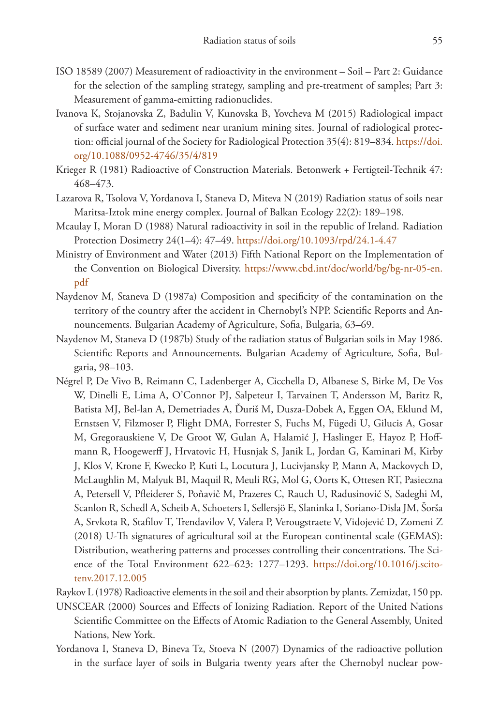- ISO 18589 (2007) Measurement of radioactivity in the environment Soil Part 2: Guidance for the selection of the sampling strategy, sampling and pre-treatment of samples; Part 3: Measurement of gamma-emitting radionuclides.
- Ivanova K, Stojanovska Z, Badulin V, Kunovska B, Yovcheva M (2015) Radiological impact of surface water and sediment near uranium mining sites. Journal of radiological protection: official journal of the Society for Radiological Protection 35(4): 819–834. [https://doi.](https://doi.org/10.1088/0952-4746/35/4/819) [org/10.1088/0952-4746/35/4/819](https://doi.org/10.1088/0952-4746/35/4/819)
- Krieger R (1981) Radioactive of Construction Materials. Betonwerk + Fertigteil-Technik 47: 468–473.
- Lazarova R, Tsolova V, Yordanova I, Staneva D, Miteva N (2019) Radiation status of soils near Maritsa-Iztok mine energy complex. Journal of Balkan Ecology 22(2): 189–198.
- Mcaulay I, Moran D (1988) Natural radioactivity in soil in the republic of Ireland. Radiation Protection Dosimetry 24(1–4): 47–49.<https://doi.org/10.1093/rpd/24.1-4.47>
- Ministry of Environment and Water (2013) Fifth National Report on the Implementation of the Convention on Biological Diversity. [https://www.cbd.int/doc/world/bg/bg-nr-05-en.](https://www.cbd.int/doc/world/bg/bg-nr-05-en.pdf) [pdf](https://www.cbd.int/doc/world/bg/bg-nr-05-en.pdf)
- Naydenov M, Staneva D (1987a) Composition and specificity of the contamination on the territory of the country after the accident in Chernobyl's NPP. Scientific Reports and Announcements. Bulgarian Academy of Agriculture, Sofia, Bulgaria, 63–69.
- Naydenov M, Staneva D (1987b) Study of the radiation status of Bulgarian soils in May 1986. Scientific Reports and Announcements. Bulgarian Academy of Agriculture, Sofia, Bulgaria, 98–103.
- Négrel P, De Vivo B, Reimann C, Ladenberger A, Cicchella D, Albanese S, Birke M, De Vos W, Dinelli E, Lima A, O'Connor PJ, Salpeteur I, Tarvainen T, Andersson M, Baritz R, Batista MJ, Bel-lan A, Demetriades A, Ďuriš M, Dusza-Dobek A, Eggen OA, Eklund M, Ernstsen V, Filzmoser P, Flight DMA, Forrester S, Fuchs M, Fügedi U, Gilucis A, Gosar M, Gregorauskiene V, De Groot W, Gulan A, Halamić J, Haslinger E, Hayoz P, Hoffmann R, Hoogewerff J, Hrvatovic H, Husnjak S, Janik L, Jordan G, Kaminari M, Kirby J, Klos V, Krone F, Kwecko P, Kuti L, Locutura J, Lucivjansky P, Mann A, Mackovych D, McLaughlin M, Malyuk BI, Maquil R, Meuli RG, Mol G, Oorts K, Ottesen RT, Pasieczna A, Petersell V, Pfleiderer S, Poňavič M, Prazeres C, Rauch U, Radusinović S, Sadeghi M, Scanlon R, Schedl A, Scheib A, Schoeters I, Sellersjö E, Slaninka I, Soriano-Disla JM, Šorša A, Srvkota R, Stafilov T, Trendavilov V, Valera P, Verougstraete V, Vidojević D, Zomeni Z (2018) U-Th signatures of agricultural soil at the European continental scale (GEMAS): Distribution, weathering patterns and processes controlling their concentrations. The Science of the Total Environment 622–623: 1277–1293. [https://doi.org/10.1016/j.scito](https://doi.org/10.1016/j.scitotenv.2017.12.005)[tenv.2017.12.005](https://doi.org/10.1016/j.scitotenv.2017.12.005)
- Raykov L (1978) Radioactive elements in the soil and their absorption by plants. Zemizdat, 150 pp.
- UNSCEAR (2000) Sources and Effects of Ionizing Radiation. Report of the United Nations Scientific Committee on the Effects of Atomic Radiation to the General Assembly, United Nations, New York.
- Yordanova I, Staneva D, Bineva Tz, Stoeva N (2007) Dynamics of the radioactive pollution in the surface layer of soils in Bulgaria twenty years after the Chernobyl nuclear pow-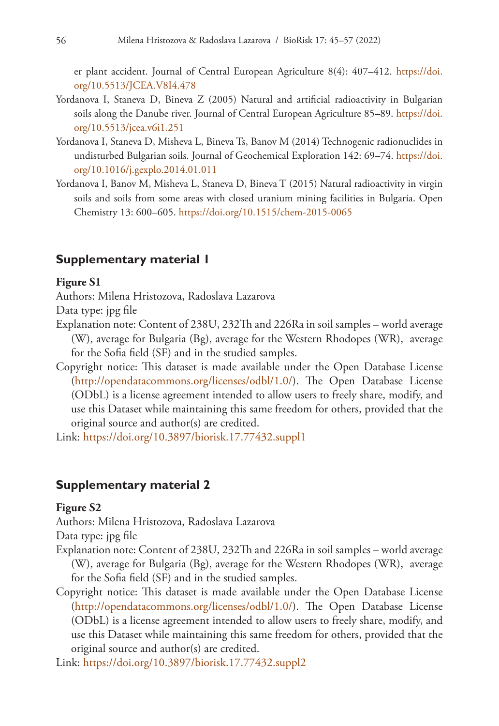er plant accident. Journal of Central European Agriculture 8(4): 407–412. [https://doi.](https://doi.org/10.5513/JCEA.V8I4.478) [org/10.5513/JCEA.V8I4.478](https://doi.org/10.5513/JCEA.V8I4.478)

- Yordanova I, Staneva D, Bineva Z (2005) Natural and artificial radioactivity in Bulgarian soils along the Danube river. Journal of Central European Agriculture 85-89. [https://doi.](https://doi.org/10.5513/jcea.v6i1.251) [org/10.5513/jcea.v6i1.251](https://doi.org/10.5513/jcea.v6i1.251)
- Yordanova I, Staneva D, Misheva L, Bineva Ts, Banov M (2014) Technogenic radionuclides in undisturbed Bulgarian soils. Journal of Geochemical Exploration 142: 69–74. [https://doi.](https://doi.org/10.1016/j.gexplo.2014.01.011) [org/10.1016/j.gexplo.2014.01.011](https://doi.org/10.1016/j.gexplo.2014.01.011)
- Yordanova I, Banov M, Misheva L, Staneva D, Bineva T (2015) Natural radioactivity in virgin soils and soils from some areas with closed uranium mining facilities in Bulgaria. Open Chemistry 13: 600–605. <https://doi.org/10.1515/chem-2015-0065>

### **Supplementary material 1**

#### **Figure S1**

Authors: Milena Hristozova, Radoslava Lazarova

Data type: jpg file

- Explanation note: Content of 238U, 232Th and 226Ra in soil samples world average (W), average for Bulgaria (Bg), average for the Western Rhodopes (WR), average for the Sofia field (SF) and in the studied samples.
- Copyright notice: This dataset is made available under the Open Database License [\(http://opendatacommons.org/licenses/odbl/1.0/](http://opendatacommons.org/licenses/odbl/1.0/)). The Open Database License (ODbL) is a license agreement intended to allow users to freely share, modify, and use this Dataset while maintaining this same freedom for others, provided that the original source and author(s) are credited.

Link: <https://doi.org/10.3897/biorisk.17.77432.suppl1>

#### **Supplementary material 2**

#### **Figure S2**

Authors: Milena Hristozova, Radoslava Lazarova

Data type: jpg file

- Explanation note: Content of 238U, 232Th and 226Ra in soil samples world average (W), average for Bulgaria (Bg), average for the Western Rhodopes (WR), average for the Sofia field (SF) and in the studied samples.
- Copyright notice: This dataset is made available under the Open Database License [\(http://opendatacommons.org/licenses/odbl/1.0/](http://opendatacommons.org/licenses/odbl/1.0/)). The Open Database License (ODbL) is a license agreement intended to allow users to freely share, modify, and use this Dataset while maintaining this same freedom for others, provided that the original source and author(s) are credited.

Link: <https://doi.org/10.3897/biorisk.17.77432.suppl2>